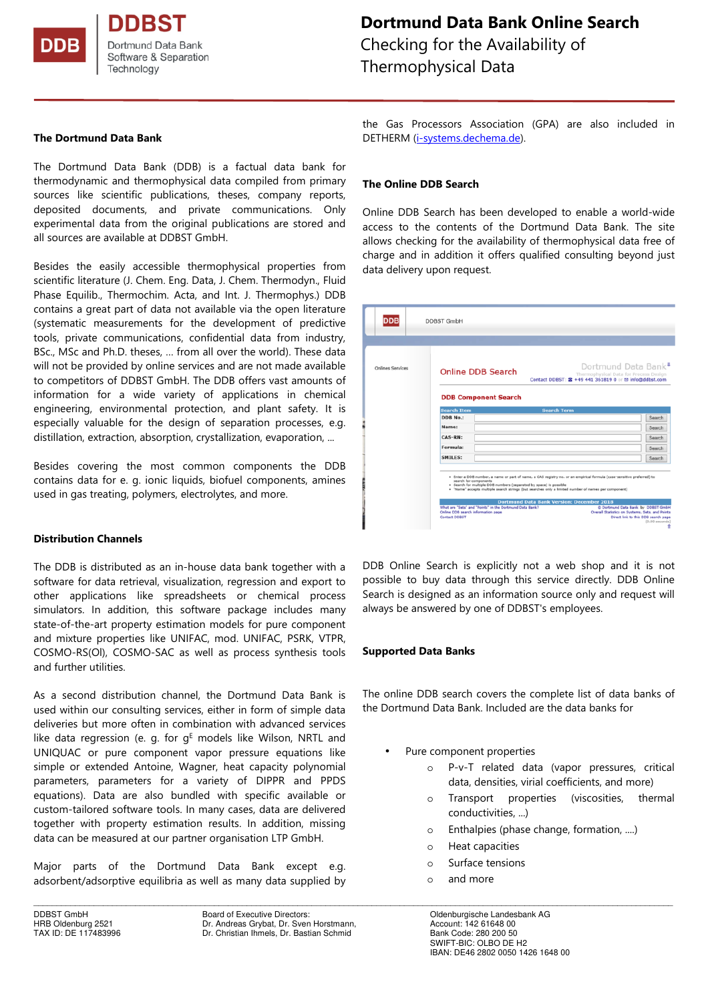Dortmund Data Bank Software & Separation Technology

# **DDB 2019**

# **Dortmund Data Bank Online Search**

Checking for the Availability of Thermophysical Data

#### **The Dortmund Data Bank**

The Dortmund Data Bank (DDB) is a factual data bank for thermodynamic and thermophysical data compiled from primary sources like scientific publications, theses, company reports, deposited documents, and private communications. Only experimental data from the original publications are stored and all sources are available at DDBST GmbH.

Besides the easily accessible thermophysical properties from scientific literature (J. Chem. Eng. Data, J. Chem. Thermodyn., Fluid Phase Equilib., Thermochim. Acta, and Int. J. Thermophys.) DDB contains a great part of data not available via the open literature (systematic measurements for the development of predictive tools, private communications, confidential data from industry, BSc., MSc and Ph.D. theses, … from all over the world). These data will not be provided by online services and are not made available to competitors of DDBST GmbH. The DDB offers vast amounts of information for a wide variety of applications in chemical engineering, environmental protection, and plant safety. It is especially valuable for the design of separation processes, e.g. distillation, extraction, absorption, crystallization, evaporation, ...

Besides covering the most common components the DDB contains data for e. g. ionic liquids, biofuel components, amines used in gas treating, polymers, electrolytes, and more.

#### **Distribution Channels**

The DDB is distributed as an in-house data bank together with a software for data retrieval, visualization, regression and export to other applications like spreadsheets or chemical process simulators. In addition, this software package includes many state-of-the-art property estimation models for pure component and mixture properties like UNIFAC, mod. UNIFAC, PSRK, VTPR, COSMO-RS(Ol), COSMO-SAC as well as process synthesis tools and further utilities.

As a second distribution channel, the Dortmund Data Bank is used within our consulting services, either in form of simple data deliveries but more often in combination with advanced services like data regression (e. g. for  $g^E$  models like Wilson, NRTL and UNIQUAC or pure component vapor pressure equations like simple or extended Antoine, Wagner, heat capacity polynomial parameters, parameters for a variety of DIPPR and PPDS equations). Data are also bundled with specific available or custom-tailored software tools. In many cases, data are delivered together with property estimation results. In addition, missing data can be measured at our partner organisation LTP GmbH.

Major parts of the Dortmund Data Bank except e.g. adsorbent/adsorptive equilibria as well as many data supplied by

\_\_\_\_\_\_\_\_\_\_\_\_\_\_\_\_\_\_\_\_\_\_\_\_\_\_\_\_\_\_\_\_\_\_\_\_\_\_\_\_\_\_\_\_\_\_\_\_\_\_\_\_\_\_\_\_\_\_\_\_\_\_\_\_\_\_\_\_\_\_\_\_\_\_\_\_\_\_\_\_\_\_\_\_\_\_\_\_\_\_\_\_\_\_\_\_\_\_\_\_\_\_\_\_\_\_\_\_\_\_\_\_\_\_\_\_\_\_\_\_\_\_\_\_\_\_\_\_\_\_\_\_\_\_\_\_\_\_

DDBST GmbH Board of Executive Directors: Coldenburgische Landesbank AG<br>
Board of Executive Directors: Onen Horstmann, Coldenburgische Landesbank AG<br>
Account: 142 61648 00 Dr. Andreas Grybat, Dr. Sven Horstmann, TAX ID: DE 117483996 Dr. Christian Ihmels, Dr. Bastian Schmid

the Gas Processors Association (GPA) are also included in DETHERM (i-systems.dechema.de).

#### **The Online DDB Search**

Online DDB Search has been developed to enable a world-wide access to the contents of the Dortmund Data Bank. The site allows checking for the availability of thermophysical data free of charge and in addition it offers qualified consulting beyond just data delivery upon request.

| <b>DDB</b>              | <b>DDBST GmbH</b>                                                                                                                                                                                                                                                                                                                                                                                                                                                                                   |                                                                                                                                                  |
|-------------------------|-----------------------------------------------------------------------------------------------------------------------------------------------------------------------------------------------------------------------------------------------------------------------------------------------------------------------------------------------------------------------------------------------------------------------------------------------------------------------------------------------------|--------------------------------------------------------------------------------------------------------------------------------------------------|
| <b>Onlines Services</b> | <b>Online DDB Search</b>                                                                                                                                                                                                                                                                                                                                                                                                                                                                            | Dortmund Data Bank <sup>®</sup><br>Thermophysical Data for Process Design<br>Contact DDBST: 2 +49 441 361819 0 or <b>El info@ddbst.com</b>       |
|                         | <b>DDB Component Search</b><br><b>Search Item</b><br><b>Search Term</b>                                                                                                                                                                                                                                                                                                                                                                                                                             |                                                                                                                                                  |
|                         | <b>DDB No.:</b>                                                                                                                                                                                                                                                                                                                                                                                                                                                                                     | Search                                                                                                                                           |
|                         |                                                                                                                                                                                                                                                                                                                                                                                                                                                                                                     |                                                                                                                                                  |
|                         | Name:                                                                                                                                                                                                                                                                                                                                                                                                                                                                                               | Search                                                                                                                                           |
|                         | <b>CAS-RN:</b>                                                                                                                                                                                                                                                                                                                                                                                                                                                                                      | Search                                                                                                                                           |
|                         | <b>Formula:</b>                                                                                                                                                                                                                                                                                                                                                                                                                                                                                     | Search                                                                                                                                           |
|                         | <b>SMILES:</b>                                                                                                                                                                                                                                                                                                                                                                                                                                                                                      | Search                                                                                                                                           |
|                         | . Enter a DDB number, a name or part of name, a CAS registry no, or an empirical formula (case-sensitive preferred) to<br>search for components<br>. Search for multiple DDB numbers (separated by space) is possible<br>. "Name" accepts multiple search strings (but searches only a limited number of names per component)<br><b>Dortmund Data Bank Version: December 2018</b><br>What are "Sets" and "Points" in the Dortmund Data Bank?<br>Online DDB search information page<br>Contact DOBST | @ Dortmund Data Bank by DDBST GmbH<br>Overall Statistics on Systems, Sets, and Points<br>Direct link to this DDB search page<br>$(0.00$ seconds) |

DDB Online Search is explicitly not a web shop and it is not possible to buy data through this service directly. DDB Online Search is designed as an information source only and request will always be answered by one of DDBST's employees.

#### **Supported Data Banks**

The online DDB search covers the complete list of data banks of the Dortmund Data Bank. Included are the data banks for

- Pure component properties
	- o P-v-T related data (vapor pressures, critical data, densities, virial coefficients, and more)
	- o Transport properties (viscosities, thermal conductivities, ...)
	- o Enthalpies (phase change, formation, ....)
	- o Heat capacities
	- o Surface tensions
	- o and more